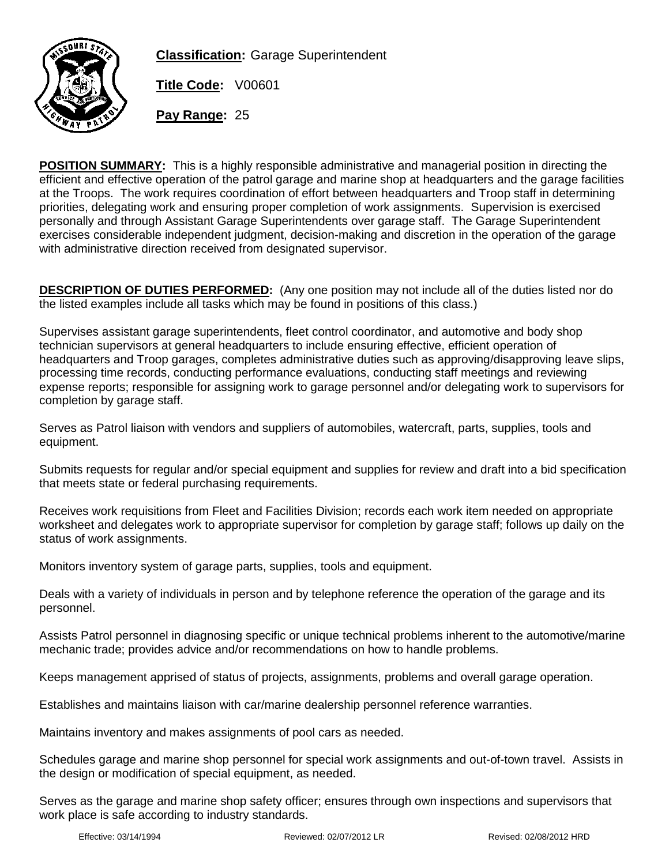

**Classification:** Garage Superintendent

**Title Code:** V00601

**Pay Range:** 25

**POSITION SUMMARY:** This is a highly responsible administrative and managerial position in directing the efficient and effective operation of the patrol garage and marine shop at headquarters and the garage facilities at the Troops. The work requires coordination of effort between headquarters and Troop staff in determining priorities, delegating work and ensuring proper completion of work assignments. Supervision is exercised personally and through Assistant Garage Superintendents over garage staff. The Garage Superintendent exercises considerable independent judgment, decision-making and discretion in the operation of the garage with administrative direction received from designated supervisor.

**DESCRIPTION OF DUTIES PERFORMED:** (Any one position may not include all of the duties listed nor do the listed examples include all tasks which may be found in positions of this class.)

Supervises assistant garage superintendents, fleet control coordinator, and automotive and body shop technician supervisors at general headquarters to include ensuring effective, efficient operation of headquarters and Troop garages, completes administrative duties such as approving/disapproving leave slips, processing time records, conducting performance evaluations, conducting staff meetings and reviewing expense reports; responsible for assigning work to garage personnel and/or delegating work to supervisors for completion by garage staff.

Serves as Patrol liaison with vendors and suppliers of automobiles, watercraft, parts, supplies, tools and equipment.

Submits requests for regular and/or special equipment and supplies for review and draft into a bid specification that meets state or federal purchasing requirements.

Receives work requisitions from Fleet and Facilities Division; records each work item needed on appropriate worksheet and delegates work to appropriate supervisor for completion by garage staff; follows up daily on the status of work assignments.

Monitors inventory system of garage parts, supplies, tools and equipment.

Deals with a variety of individuals in person and by telephone reference the operation of the garage and its personnel.

Assists Patrol personnel in diagnosing specific or unique technical problems inherent to the automotive/marine mechanic trade; provides advice and/or recommendations on how to handle problems.

Keeps management apprised of status of projects, assignments, problems and overall garage operation.

Establishes and maintains liaison with car/marine dealership personnel reference warranties.

Maintains inventory and makes assignments of pool cars as needed.

Schedules garage and marine shop personnel for special work assignments and out-of-town travel. Assists in the design or modification of special equipment, as needed.

Serves as the garage and marine shop safety officer; ensures through own inspections and supervisors that work place is safe according to industry standards.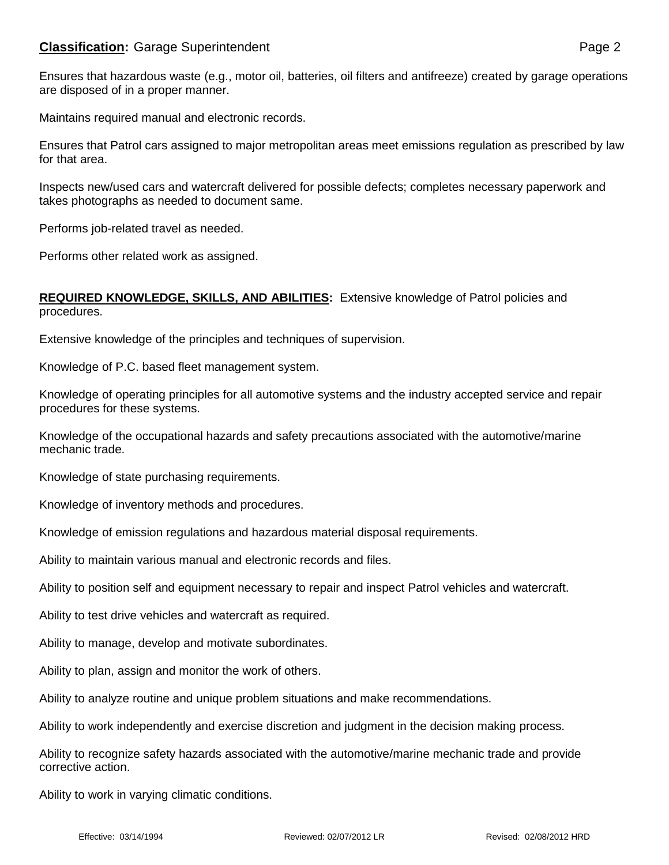## **Classification:** Garage Superintendent **Page 2** Page 2

Maintains required manual and electronic records.

Ensures that Patrol cars assigned to major metropolitan areas meet emissions regulation as prescribed by law for that area.

Inspects new/used cars and watercraft delivered for possible defects; completes necessary paperwork and takes photographs as needed to document same.

Performs job-related travel as needed.

Performs other related work as assigned.

## **REQUIRED KNOWLEDGE, SKILLS, AND ABILITIES:** Extensive knowledge of Patrol policies and procedures.

Extensive knowledge of the principles and techniques of supervision.

Knowledge of P.C. based fleet management system.

Knowledge of operating principles for all automotive systems and the industry accepted service and repair procedures for these systems.

Knowledge of the occupational hazards and safety precautions associated with the automotive/marine mechanic trade.

Knowledge of state purchasing requirements.

Knowledge of inventory methods and procedures.

Knowledge of emission regulations and hazardous material disposal requirements.

Ability to maintain various manual and electronic records and files.

Ability to position self and equipment necessary to repair and inspect Patrol vehicles and watercraft.

Ability to test drive vehicles and watercraft as required.

Ability to manage, develop and motivate subordinates.

Ability to plan, assign and monitor the work of others.

Ability to analyze routine and unique problem situations and make recommendations.

Ability to work independently and exercise discretion and judgment in the decision making process.

Ability to recognize safety hazards associated with the automotive/marine mechanic trade and provide corrective action.

Ability to work in varying climatic conditions.